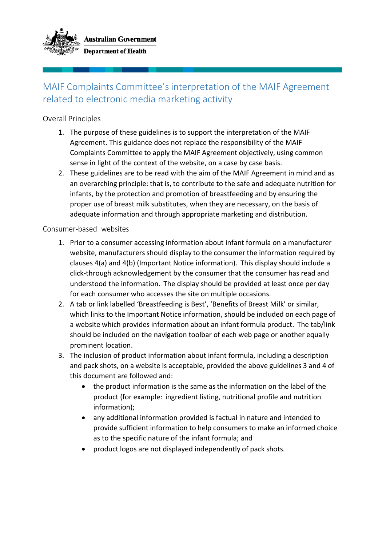

## MAIF Complaints Committee's interpretation of the MAIF Agreement related to electronic media marketing activity

## Overall Principles

- 1. The purpose of these guidelines is to support the interpretation of the MAIF Agreement. This guidance does not replace the responsibility of the MAIF Complaints Committee to apply the MAIF Agreement objectively, using common sense in light of the context of the website, on a case by case basis.
- 2. These guidelines are to be read with the aim of the MAIF Agreement in mind and as an overarching principle: that is, to contribute to the safe and adequate nutrition for infants, by the protection and promotion of breastfeeding and by ensuring the proper use of breast milk substitutes, when they are necessary, on the basis of adequate information and through appropriate marketing and distribution.

Consumer-based websites

- 1. Prior to a consumer accessing information about infant formula on a manufacturer website, manufacturers should display to the consumer the information required by clauses 4(a) and 4(b) (Important Notice information). This display should include a click-through acknowledgement by the consumer that the consumer has read and understood the information. The display should be provided at least once per day for each consumer who accesses the site on multiple occasions.
- 2. A tab or link labelled 'Breastfeeding is Best', 'Benefits of Breast Milk' or similar, which links to the Important Notice information, should be included on each page of a website which provides information about an infant formula product. The tab/link should be included on the navigation toolbar of each web page or another equally prominent location.
- 3. The inclusion of product information about infant formula, including a description and pack shots, on a website is acceptable, provided the above guidelines 3 and 4 of this document are followed and:
	- the product information is the same as the information on the label of the product (for example: ingredient listing, nutritional profile and nutrition information);
	- any additional information provided is factual in nature and intended to provide sufficient information to help consumers to make an informed choice as to the specific nature of the infant formula; and
	- product logos are not displayed independently of pack shots.